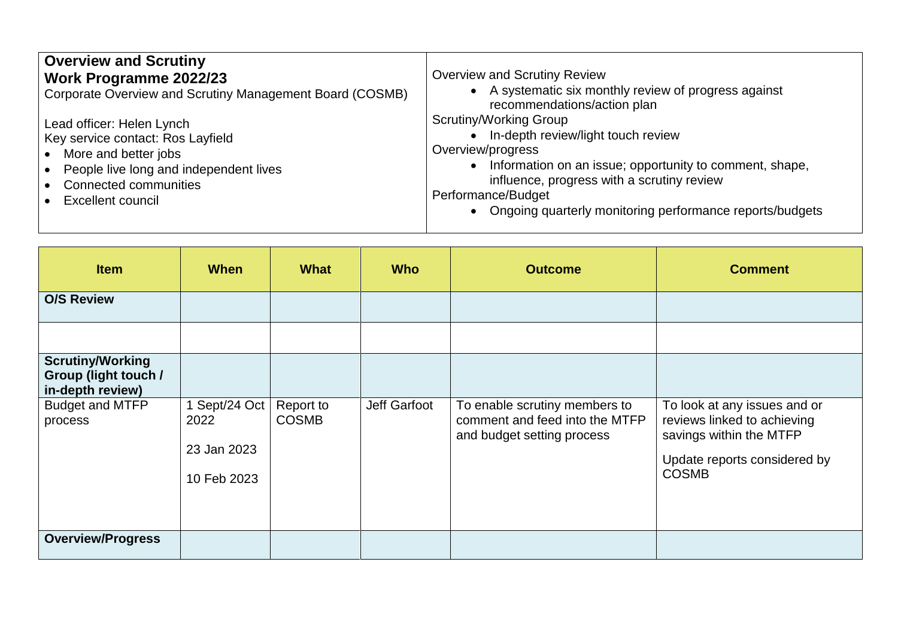| <b>Overview and Scrutiny</b><br><b>Work Programme 2022/23</b><br>Corporate Overview and Scrutiny Management Board (COSMB)<br>Lead officer: Helen Lynch<br>$\bullet$<br>Key service contact: Ros Layfield<br>More and better jobs<br>$\bullet$<br>People live long and independent lives<br><b>Connected communities</b><br>Excellent council | <b>Overview and Scrutiny Review</b><br>• A systematic six monthly review of progress against<br>recommendations/action plan<br>Scrutiny/Working Group<br>In-depth review/light touch review<br>Overview/progress<br>Information on an issue; opportunity to comment, shape,<br>influence, progress with a scrutiny review<br>Performance/Budget<br>• Ongoing quarterly monitoring performance reports/budgets |
|----------------------------------------------------------------------------------------------------------------------------------------------------------------------------------------------------------------------------------------------------------------------------------------------------------------------------------------------|---------------------------------------------------------------------------------------------------------------------------------------------------------------------------------------------------------------------------------------------------------------------------------------------------------------------------------------------------------------------------------------------------------------|
|----------------------------------------------------------------------------------------------------------------------------------------------------------------------------------------------------------------------------------------------------------------------------------------------------------------------------------------------|---------------------------------------------------------------------------------------------------------------------------------------------------------------------------------------------------------------------------------------------------------------------------------------------------------------------------------------------------------------------------------------------------------------|

| <b>Item</b>                                                                | <b>When</b>         | <b>What</b>               | <b>Who</b>   | <b>Outcome</b>                                                                                | <b>Comment</b>                                                                         |
|----------------------------------------------------------------------------|---------------------|---------------------------|--------------|-----------------------------------------------------------------------------------------------|----------------------------------------------------------------------------------------|
| <b>O/S Review</b>                                                          |                     |                           |              |                                                                                               |                                                                                        |
|                                                                            |                     |                           |              |                                                                                               |                                                                                        |
| <b>Scrutiny/Working</b><br><b>Group (light touch /</b><br>in-depth review) |                     |                           |              |                                                                                               |                                                                                        |
| <b>Budget and MTFP</b><br>process                                          | Sept/24 Oct<br>2022 | Report to<br><b>COSMB</b> | Jeff Garfoot | To enable scrutiny members to<br>comment and feed into the MTFP<br>and budget setting process | To look at any issues and or<br>reviews linked to achieving<br>savings within the MTFP |
|                                                                            | 23 Jan 2023         |                           |              |                                                                                               | Update reports considered by<br><b>COSMB</b>                                           |
|                                                                            | 10 Feb 2023         |                           |              |                                                                                               |                                                                                        |
| <b>Overview/Progress</b>                                                   |                     |                           |              |                                                                                               |                                                                                        |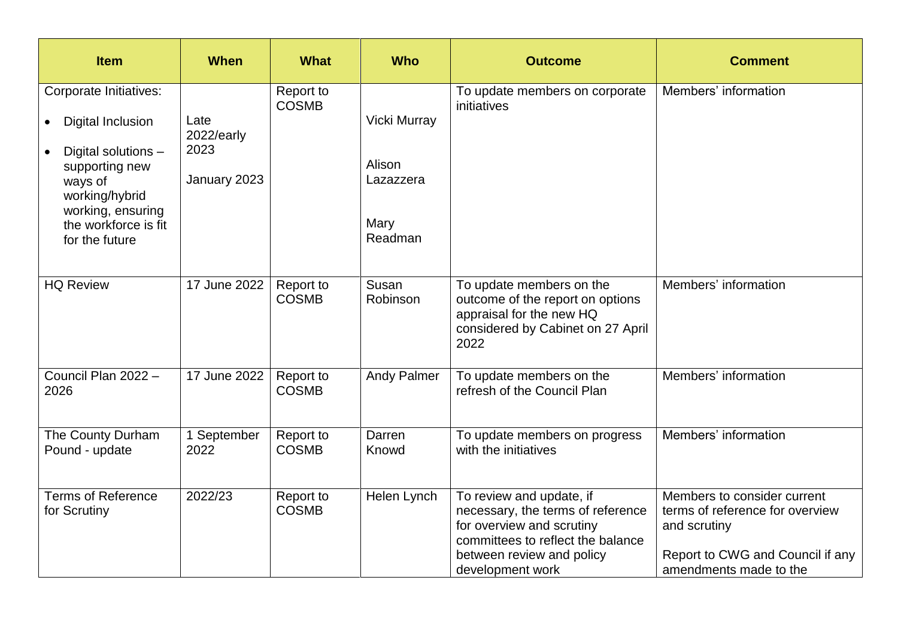| <b>Item</b>                                                                                                                                                                                                              | <b>When</b>                                | <b>What</b>               | <b>Who</b>                                                    | <b>Outcome</b>                                                                                                                                                                   | <b>Comment</b>                                                                                                                               |
|--------------------------------------------------------------------------------------------------------------------------------------------------------------------------------------------------------------------------|--------------------------------------------|---------------------------|---------------------------------------------------------------|----------------------------------------------------------------------------------------------------------------------------------------------------------------------------------|----------------------------------------------------------------------------------------------------------------------------------------------|
| <b>Corporate Initiatives:</b><br><b>Digital Inclusion</b><br>$\bullet$<br>Digital solutions -<br>$\bullet$<br>supporting new<br>ways of<br>working/hybrid<br>working, ensuring<br>the workforce is fit<br>for the future | Late<br>2022/early<br>2023<br>January 2023 | Report to<br><b>COSMB</b> | <b>Vicki Murray</b><br>Alison<br>Lazazzera<br>Mary<br>Readman | To update members on corporate<br>initiatives                                                                                                                                    | Members' information                                                                                                                         |
| <b>HQ Review</b>                                                                                                                                                                                                         | 17 June 2022                               | Report to<br><b>COSMB</b> | Susan<br>Robinson                                             | To update members on the<br>outcome of the report on options<br>appraisal for the new HQ<br>considered by Cabinet on 27 April<br>2022                                            | Members' information                                                                                                                         |
| Council Plan 2022 -<br>2026                                                                                                                                                                                              | 17 June 2022                               | Report to<br><b>COSMB</b> | <b>Andy Palmer</b>                                            | To update members on the<br>refresh of the Council Plan                                                                                                                          | Members' information                                                                                                                         |
| The County Durham<br>Pound - update                                                                                                                                                                                      | 1 September<br>2022                        | Report to<br><b>COSMB</b> | Darren<br>Knowd                                               | To update members on progress<br>with the initiatives                                                                                                                            | Members' information                                                                                                                         |
| <b>Terms of Reference</b><br>for Scrutiny                                                                                                                                                                                | 2022/23                                    | Report to<br><b>COSMB</b> | Helen Lynch                                                   | To review and update, if<br>necessary, the terms of reference<br>for overview and scrutiny<br>committees to reflect the balance<br>between review and policy<br>development work | Members to consider current<br>terms of reference for overview<br>and scrutiny<br>Report to CWG and Council if any<br>amendments made to the |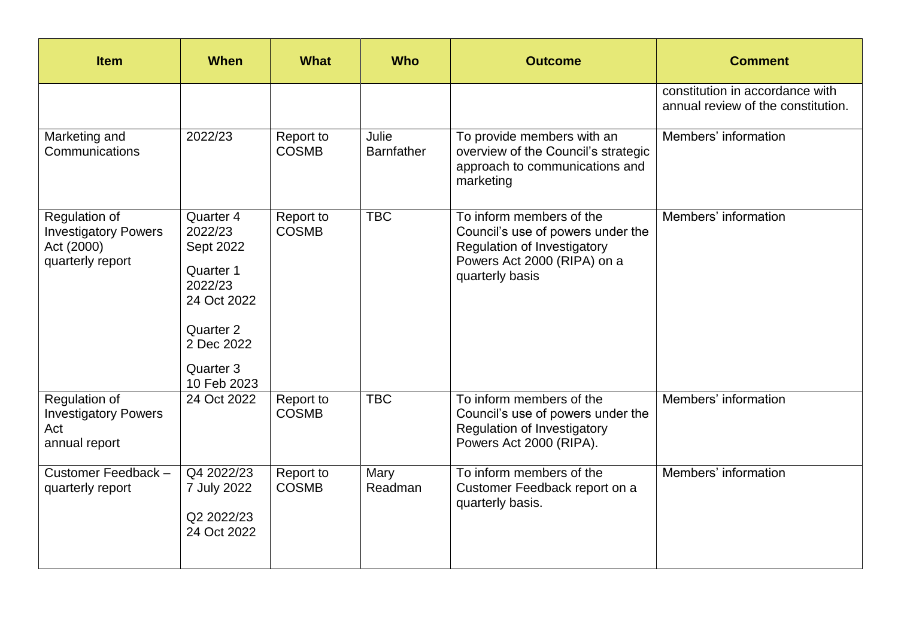| <b>Item</b>                                                                    | <b>When</b>                                                                                                                     | <b>What</b>               | <b>Who</b>                 | <b>Outcome</b>                                                                                                                                 | <b>Comment</b>                                                        |
|--------------------------------------------------------------------------------|---------------------------------------------------------------------------------------------------------------------------------|---------------------------|----------------------------|------------------------------------------------------------------------------------------------------------------------------------------------|-----------------------------------------------------------------------|
|                                                                                |                                                                                                                                 |                           |                            |                                                                                                                                                | constitution in accordance with<br>annual review of the constitution. |
| Marketing and<br>Communications                                                | 2022/23                                                                                                                         | Report to<br><b>COSMB</b> | Julie<br><b>Barnfather</b> | To provide members with an<br>overview of the Council's strategic<br>approach to communications and<br>marketing                               | Members' information                                                  |
| Regulation of<br><b>Investigatory Powers</b><br>Act (2000)<br>quarterly report | Quarter 4<br>2022/23<br>Sept 2022<br>Quarter 1<br>2022/23<br>24 Oct 2022<br>Quarter 2<br>2 Dec 2022<br>Quarter 3<br>10 Feb 2023 | Report to<br><b>COSMB</b> | <b>TBC</b>                 | To inform members of the<br>Council's use of powers under the<br>Regulation of Investigatory<br>Powers Act 2000 (RIPA) on a<br>quarterly basis | Members' information                                                  |
| Regulation of<br><b>Investigatory Powers</b><br>Act<br>annual report           | 24 Oct 2022                                                                                                                     | Report to<br><b>COSMB</b> | <b>TBC</b>                 | To inform members of the<br>Council's use of powers under the<br><b>Regulation of Investigatory</b><br>Powers Act 2000 (RIPA).                 | Members' information                                                  |
| Customer Feedback -<br>quarterly report                                        | Q4 2022/23<br>7 July 2022<br>Q2 2022/23<br>24 Oct 2022                                                                          | Report to<br><b>COSMB</b> | Mary<br>Readman            | To inform members of the<br>Customer Feedback report on a<br>quarterly basis.                                                                  | Members' information                                                  |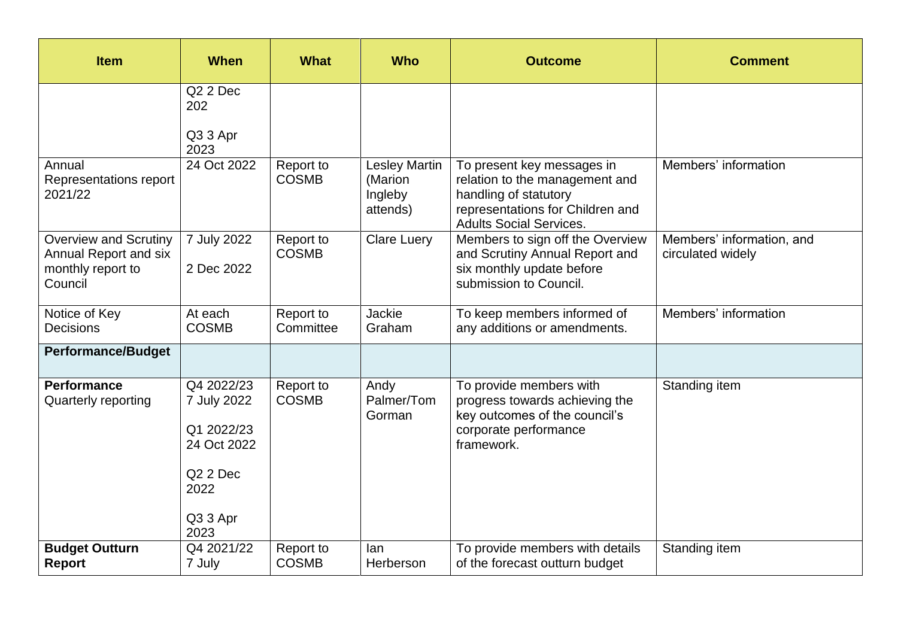| <b>Item</b>                                                                                  | <b>When</b>                                                                                                | <b>What</b>               | <b>Who</b>                                             | <b>Outcome</b>                                                                                                                                              | <b>Comment</b>                                 |
|----------------------------------------------------------------------------------------------|------------------------------------------------------------------------------------------------------------|---------------------------|--------------------------------------------------------|-------------------------------------------------------------------------------------------------------------------------------------------------------------|------------------------------------------------|
|                                                                                              | Q <sub>2</sub> 2 Dec<br>202                                                                                |                           |                                                        |                                                                                                                                                             |                                                |
|                                                                                              | Q3 3 Apr<br>2023                                                                                           |                           |                                                        |                                                                                                                                                             |                                                |
| Annual<br>Representations report<br>2021/22                                                  | 24 Oct 2022                                                                                                | Report to<br><b>COSMB</b> | <b>Lesley Martin</b><br>(Marion<br>Ingleby<br>attends) | To present key messages in<br>relation to the management and<br>handling of statutory<br>representations for Children and<br><b>Adults Social Services.</b> | Members' information                           |
| <b>Overview and Scrutiny</b><br><b>Annual Report and six</b><br>monthly report to<br>Council | 7 July 2022<br>2 Dec 2022                                                                                  | Report to<br><b>COSMB</b> | <b>Clare Luery</b>                                     | Members to sign off the Overview<br>and Scrutiny Annual Report and<br>six monthly update before<br>submission to Council.                                   | Members' information, and<br>circulated widely |
| Notice of Key<br><b>Decisions</b>                                                            | At each<br><b>COSMB</b>                                                                                    | Report to<br>Committee    | Jackie<br>Graham                                       | To keep members informed of<br>any additions or amendments.                                                                                                 | Members' information                           |
| <b>Performance/Budget</b>                                                                    |                                                                                                            |                           |                                                        |                                                                                                                                                             |                                                |
| <b>Performance</b><br><b>Quarterly reporting</b>                                             | Q4 2022/23<br>7 July 2022<br>Q1 2022/23<br>24 Oct 2022<br>Q <sub>2</sub> 2 Dec<br>2022<br>Q3 3 Apr<br>2023 | Report to<br><b>COSMB</b> | Andy<br>Palmer/Tom<br>Gorman                           | To provide members with<br>progress towards achieving the<br>key outcomes of the council's<br>corporate performance<br>framework.                           | Standing item                                  |
| <b>Budget Outturn</b><br><b>Report</b>                                                       | Q4 2021/22<br>7 July                                                                                       | Report to<br><b>COSMB</b> | lan<br>Herberson                                       | To provide members with details<br>of the forecast outturn budget                                                                                           | Standing item                                  |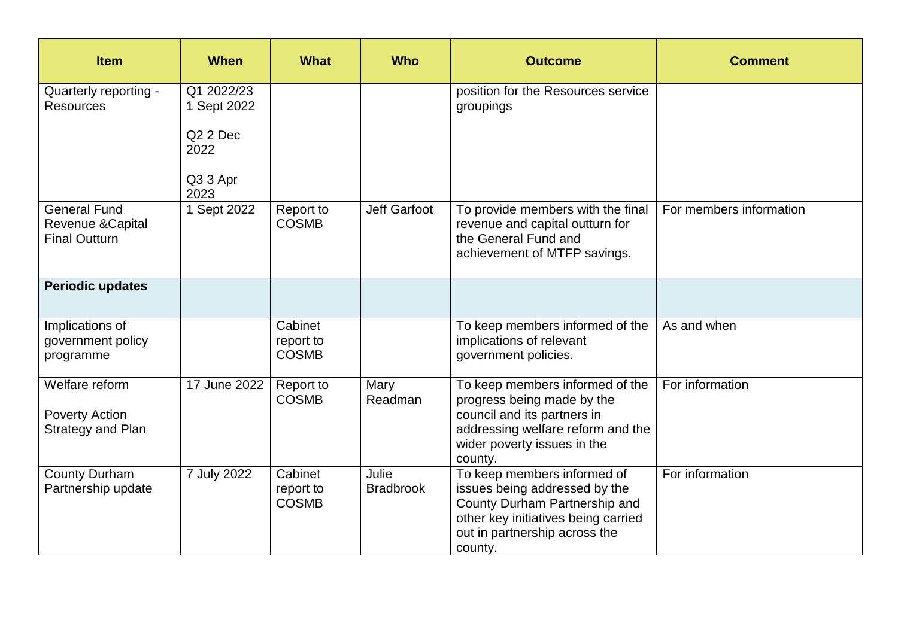| <b>Item</b>                                                      | <b>When</b>                                                                   | <b>What</b>                          | <b>Who</b>                | <b>Outcome</b>                                                                                                                                                                   | <b>Comment</b>          |
|------------------------------------------------------------------|-------------------------------------------------------------------------------|--------------------------------------|---------------------------|----------------------------------------------------------------------------------------------------------------------------------------------------------------------------------|-------------------------|
| Quarterly reporting -<br><b>Resources</b>                        | Q1 2022/23<br>1 Sept 2022<br>Q <sub>2</sub> 2 Dec<br>2022<br>Q3 3 Apr<br>2023 |                                      |                           | position for the Resources service<br>groupings                                                                                                                                  |                         |
| <b>General Fund</b><br>Revenue & Capital<br><b>Final Outturn</b> | 1 Sept 2022                                                                   | Report to<br><b>COSMB</b>            | Jeff Garfoot              | To provide members with the final<br>revenue and capital outturn for<br>the General Fund and<br>achievement of MTFP savings.                                                     | For members information |
| <b>Periodic updates</b>                                          |                                                                               |                                      |                           |                                                                                                                                                                                  |                         |
| Implications of<br>government policy<br>programme                |                                                                               | Cabinet<br>report to<br><b>COSMB</b> |                           | To keep members informed of the<br>implications of relevant<br>government policies.                                                                                              | As and when             |
| Welfare reform<br><b>Poverty Action</b><br>Strategy and Plan     | 17 June 2022                                                                  | Report to<br><b>COSMB</b>            | Mary<br>Readman           | To keep members informed of the<br>progress being made by the<br>council and its partners in<br>addressing welfare reform and the<br>wider poverty issues in the<br>county.      | For information         |
| <b>County Durham</b><br>Partnership update                       | 7 July 2022                                                                   | Cabinet<br>report to<br><b>COSMB</b> | Julie<br><b>Bradbrook</b> | To keep members informed of<br>issues being addressed by the<br>County Durham Partnership and<br>other key initiatives being carried<br>out in partnership across the<br>county. | For information         |